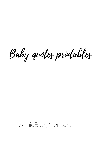#### AnnieBabyMonitor.com

Baby quotes printables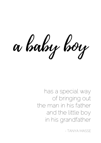

has a special way of bringing out the man in his father and the little boy in his grandfather

- TANYA MASSE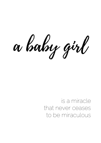

### is a miracle that never ceases to be miraculous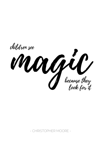



because they look for it

- CHRISTOPHER MOORE -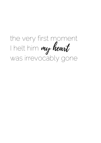my heart the very first moment I helt him was irrevocably gone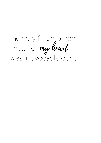the very first moment I helt her my heartwas irrevocably gone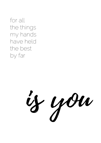for all the things my hands have held the best by far

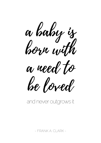





#### andnever outgrows it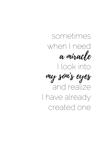sometimes when I need I look into a miracle

I have already created one

and realize my son's eyes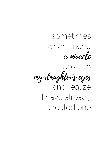I look into

## sometimes when I need a miracle

## and realize I have already my daughter's eyes

created one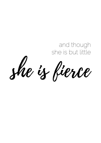# she is fierce

## and though she is but little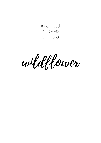

in a field of roses she is a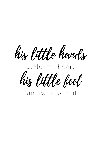# his little hands s tole my hea rt

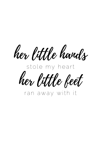# her little hands s tole my hea rt

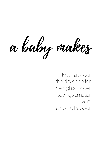



the days shorter the nights longer savings smaller and a home happier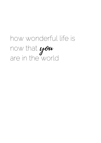## how wonderful life is now that are in the world you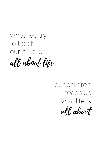all about life

while we try to teach our children

> all about our children teach us what life is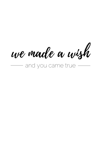we made a wish and you came true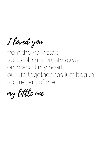#### you 're part of me

I loved you

from the very start you stole my breath away embraced my heart our life together has just b

my little one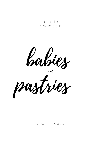

#### - GAYLE WRAY -



#### perfection only exists in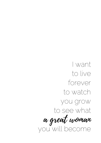

forever to watch you grow to see what you will become a great woman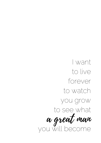

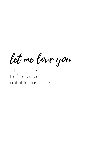a little more

#### before you re not little anymore

- 
- 
- -
- -
- 
- -
- - - -
		-
		-
		-
- 
- 
- 
- 
- 
- 
- 
- 
- 
- 
- 
- 
- 
- 
- 
- 
- 
- 
- 
- 
- 
- 
- 
- 
- - - - -
				-
				-
		-
	-
	-
	- -
		-
		-
		-
		-
	-
	-
	-
	-
	-
	-
	-
- - -
	- -
		- -
			-
- 
- - - - -
- 
- 
- 
- 
- 
- 
- 

let me love you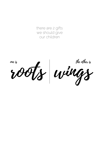there are 2 gifts we should give our children

# roots wings

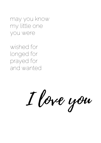may you know my little one you were

wished for longed for prayed for and wanted

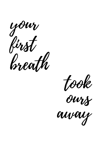





away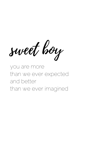

you are more than we ever expected

### and better than we ever imagined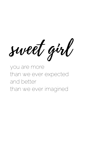

you are more nan we ever expect

### and better than we ever imagined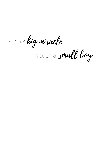such <sup>a</sup> big miracle in such a small boy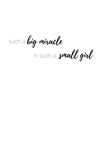such <sup>a</sup> big miracle in such a small girl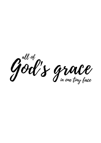

in one tiny face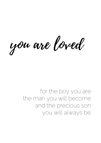you are loved

for the boy you are the man you will become and the precious son you will always be